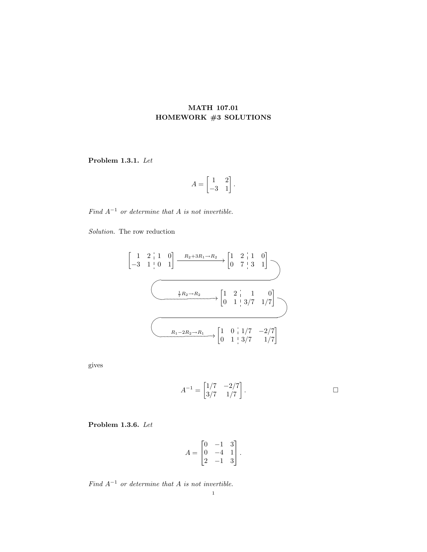## MATH 107.01 HOMEWORK #3 SOLUTIONS

Problem 1.3.1. Let

$$
A = \begin{bmatrix} 1 & 2 \\ -3 & 1 \end{bmatrix}.
$$

Find  $A^{-1}$  or determine that A is not invertible.

Solution. The row reduction

$$
\begin{bmatrix} 1 & 2 & 1 & 0 \ -3 & 1 & 0 & 1 \end{bmatrix} \xrightarrow{R_2 + 3R_1 \to R_2} \begin{bmatrix} 1 & 2 & 1 & 0 \ 0 & 7 & 3 & 1 \end{bmatrix}
$$
  

$$
\xrightarrow{\frac{1}{7}R_2 \to R_2} \begin{bmatrix} 1 & 2 & 1 & 0 \ 0 & 1 & 3/7 & 1/7 \end{bmatrix}
$$
  

$$
\xrightarrow{R_1 - 2R_2 \to R_1} \begin{bmatrix} 1 & 0 & 1/7 & -2/7 \ 0 & 1 & 3/7 & 1/7 \end{bmatrix}
$$

gives

$$
A^{-1} = \begin{bmatrix} 1/7 & -2/7 \\ 3/7 & 1/7 \end{bmatrix}.
$$

Problem 1.3.6. Let

$$
A = \begin{bmatrix} 0 & -1 & 3 \\ 0 & -4 & 1 \\ 2 & -1 & 3 \end{bmatrix}.
$$

Find  $A^{-1}$  or determine that A is not invertible.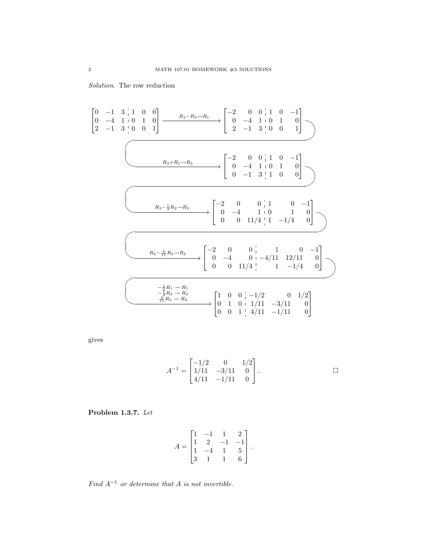Solution. The row reduction

$$
\begin{bmatrix} 0 & -1 & 3 & 1 & 0 & 0 \ 0 & -4 & 1 & 0 & 1 & 0 \ 2 & -1 & 3 & 0 & 0 & 1 \end{bmatrix} \xrightarrow{R_1 - R_3 \to R_1} \begin{bmatrix} -2 & 0 & 0 & 1 & 0 & -1 \ 0 & -4 & 1 & 0 & 1 & 0 \ 2 & -1 & 3 & 0 & 0 & 1 \end{bmatrix}
$$
  
\n
$$
\xrightarrow{R_3 + R_1 \to R_3} \begin{bmatrix} -2 & 0 & 0 & 1 & 0 & -1 \ 0 & -4 & 1 & 0 & 1 & 0 \ 0 & -1 & 3 & 1 & 0 & 0 \end{bmatrix}
$$
  
\n
$$
\xrightarrow{R_3 - \frac{1}{4}R_2 \to R_3} \begin{bmatrix} -2 & 0 & 0 & 1 & 0 & -1 \ 0 & -4 & 1 & 0 & 1 & 0 \ 0 & 0 & 11/4 & 1 & -1/4 & 0 \end{bmatrix}
$$
  
\n
$$
\xrightarrow{R_2 - \frac{4}{11}R_3 \to R_2} \begin{bmatrix} -2 & 0 & 0 & 1 & 0 & -1 \ 0 & -4 & 0 & -4/11 & 12/11 & 0 \ 0 & 0 & 11/4 & 1 & -1/4 & 0 \end{bmatrix}
$$
  
\n
$$
\xrightarrow{-\frac{1}{4}R_2 \to R_2} \begin{bmatrix} -2 & 0 & 0 & 1 & 0 & -4/11 & 12/11 & 0 \ 0 & 0 & 11/4 & 1 & -1/4 & 0 \end{bmatrix}
$$
  
\n
$$
\xrightarrow{\frac{1}{4}R_2 \to R_2} \begin{bmatrix} 1 & 0 & 0 & -1/2 & 0 & 1/2 \ 0 & 1 & 0 & 1/11 & -3/11 & 0 \ 0 & 0 & 1 & 4/11 & -1/11 & 0 \end{bmatrix}
$$

gives

$$
A^{-1} = \begin{bmatrix} -1/2 & 0 & 1/2 \\ 1/11 & -3/11 & 0 \\ 4/11 & -1/11 & 0 \end{bmatrix}.
$$

Problem 1.3.7. Let

$$
A = \begin{bmatrix} 1 & -1 & 1 & 2 \\ 1 & 2 & -1 & -1 \\ 1 & -4 & 1 & 5 \\ 3 & 1 & 1 & 6 \end{bmatrix}.
$$

Find  $A^{-1}$  or determine that A is not invertible.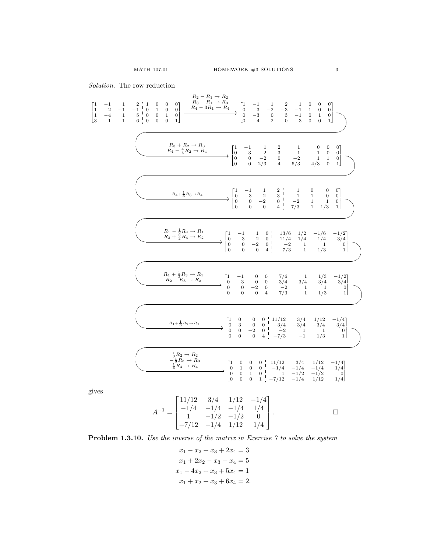Solution. The row reduction

 $\sqrt{2}$  $\overline{\phantom{a}}$ 

$$
\begin{array}{ccccccccc} & & & & R_3-R_1\rightarrow R_2\\ 1& -1& -1& 0& 0& 0& R_4-R_1\rightarrow R_4\\ 1& -4& 1& 5& 0& 0& 1& 0\\ 0& 0& 0& 1& 0& 0& 0\\ 0& -3& -2& -3& -1& -1& 0& 0& 0\\ 0& -3& -2& 0& -3& 0& 0& 1\\ \hline \end{array}
$$

giv

$$
A^{-1} = \begin{bmatrix} 11/12 & 3/4 & 1/12 & -1/4 \\ -1/4 & -1/4 & -1/4 & 1/4 \\ 1 & -1/2 & -1/2 & 0 \\ -7/12 & -1/4 & 1/12 & 1/4 \end{bmatrix}.
$$

Problem 1.3.10. Use the inverse of the matrix in Exercise 7 to solve the system

$$
x_1 - x_2 + x_3 + 2x_4 = 3
$$
  
\n
$$
x_1 + 2x_2 - x_3 - x_4 = 5
$$
  
\n
$$
x_1 - 4x_2 + x_3 + 5x_4 = 1
$$
  
\n
$$
x_1 + x_2 + x_3 + 6x_4 = 2.
$$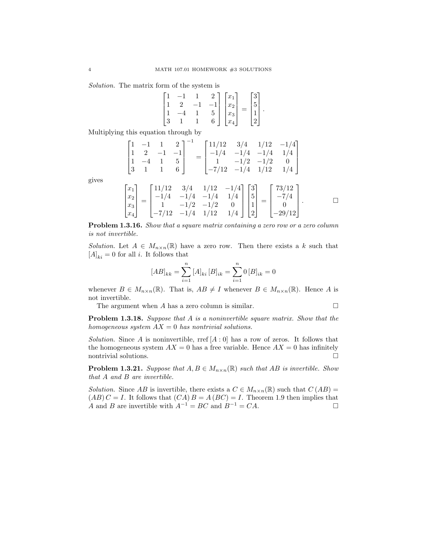Solution. The matrix form of the system is

$$
\begin{bmatrix} 1 & -1 & 1 & 2 \ 1 & 2 & -1 & -1 \ 1 & -4 & 1 & 5 \ 3 & 1 & 1 & 6 \end{bmatrix} \begin{bmatrix} x_1 \ x_2 \ x_3 \ x_4 \end{bmatrix} = \begin{bmatrix} 3 \ 5 \ 1 \ 2 \end{bmatrix}.
$$

Multiplying this equation through by

$$
\begin{bmatrix} 1 & -1 & 1 & 2 \ 1 & 2 & -1 & -1 \ 1 & -4 & 1 & 5 \ 3 & 1 & 1 & 6 \ \end{bmatrix}^{-1} = \begin{bmatrix} 11/12 & 3/4 & 1/12 & -1/4 \ -1/4 & -1/4 & -1/4 & 1/4 \ 1 & -1/2 & -1/2 & 0 \ -7/12 & -1/4 & 1/12 & 1/4 \end{bmatrix}
$$

gives

$$
\begin{bmatrix} x_1 \\ x_2 \\ x_3 \\ x_4 \end{bmatrix} = \begin{bmatrix} 11/12 & 3/4 & 1/12 & -1/4 \\ -1/4 & -1/4 & -1/4 & 1/4 \\ 1 & -1/2 & -1/2 & 0 \\ -7/12 & -1/4 & 1/12 & 1/4 \end{bmatrix} \begin{bmatrix} 3 \\ 5 \\ 1 \\ 2 \end{bmatrix} = \begin{bmatrix} 73/12 \\ -7/4 \\ 0 \\ -29/12 \end{bmatrix}.
$$

Problem 1.3.16. Show that a square matrix containing a zero row or a zero column is not invertible.

Solution. Let  $A \in M_{n \times n}(\mathbb{R})$  have a zero row. Then there exists a k such that  $[A]_{ki} = 0$  for all *i*. It follows that

$$
[AB]_{kk} = \sum_{i=1}^{n} [A]_{ki} [B]_{ik} = \sum_{i=1}^{n} 0 [B]_{ik} = 0
$$

whenever  $B \in M_{n \times n}(\mathbb{R})$ . That is,  $AB \neq I$  whenever  $B \in M_{n \times n}(\mathbb{R})$ . Hence A is not invertible.

The argument when  $A$  has a zero column is similar.  $\square$ 

**Problem 1.3.18.** Suppose that A is a noninvertible square matrix. Show that the homogeneous system  $AX = 0$  has nontrivial solutions.

Solution. Since A is noninvertible, rref  $[A:0]$  has a row of zeros. It follows that the homogeneous system  $AX = 0$  has a free variable. Hence  $AX = 0$  has infinitely nontrivial solutions.  $\hfill \square$ 

**Problem 1.3.21.** Suppose that  $A, B \in M_{n \times n}(\mathbb{R})$  such that AB is invertible. Show that A and B are invertible.

Solution. Since AB is invertible, there exists a  $C \in M_{n \times n}(\mathbb{R})$  such that  $C(AB) =$  $(AB) C = I$ . It follows that  $(CA) B = A (BC) = I$ . Theorem 1.9 then implies that A and B are invertible with  $A^{-1} = BC$  and  $B^{-1} = CA$ .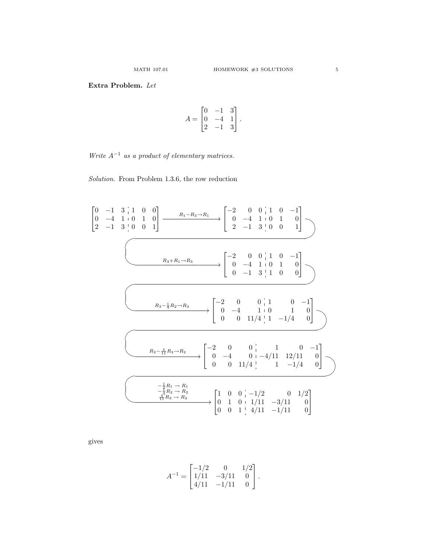## Extra Problem. Let

$$
A = \begin{bmatrix} 0 & -1 & 3 \\ 0 & -4 & 1 \\ 2 & -1 & 3 \end{bmatrix}.
$$

Write  $A^{-1}$  as a product of elementary matrices.

Solution. From Problem 1.3.6, the row reduction

0 −1 3 1 0 0 0 −4 1 0 1 0 2 −1 3 0 0 1 R1−R3→R<sup>1</sup> / −2 0 0 1 0 −1 0 −4 1 0 1 0 2 −1 3 0 0 1 UT RS WV PQ <sup>R</sup>3+R1→R<sup>3</sup> / −2 0 0 1 0 −1 0 −4 1 0 1 0 0 −1 3 1 0 0 UT RS WV PQ <sup>R</sup>3<sup>−</sup> <sup>1</sup> <sup>4</sup> R2→R<sup>3</sup> −2 0 0 1 0 −1 0 −4 1 0 1 0 0 0 11/4 1 −1/4 0 UT RS WV PQ <sup>R</sup>2<sup>−</sup> <sup>4</sup> <sup>11</sup> R3→R<sup>2</sup> −2 0 0 1 0 −1 0 −4 0 −4/11 12/11 0 0 0 11/4 1 −1/4 0 RS UT WV PQ − <sup>1</sup> <sup>2</sup> R<sup>1</sup> → R<sup>1</sup> − <sup>1</sup> <sup>4</sup> R<sup>2</sup> → R<sup>2</sup> 4 <sup>11</sup> R<sup>3</sup> → R<sup>3</sup> / 1 0 0 −1/2 0 1/2 0 1 0 1/11 −3/11 0 0 0 1 4/11 −1/11 0 

gives

 $\lceil$  $\overline{\phantom{a}}$ 

$$
A^{-1} = \begin{bmatrix} -1/2 & 0 & 1/2 \\ 1/11 & -3/11 & 0 \\ 4/11 & -1/11 & 0 \end{bmatrix}.
$$